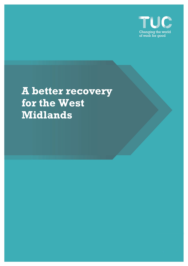

# **A better recovery for the West Midlands**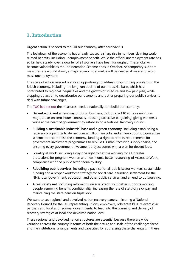# **1. Introduction**

Urgent action is needed to rebuild our economy after coronavirus.

The lockdown of the economy has already caused a sharp rise in numbers claiming workrelated benefits, including unemployment benefit. While the official unemployment rate has so far held steady, over a quarter of all workers have been furloughed. These jobs will become vulnerable as the Job Retention Scheme ends in October. As temporary support measures are wound down, a major economic stimulus will be needed if we are to avoid mass unemployment.

The scale of action needed is also an opportunity to address long-running problems in the British economy, including the long-run decline of our industrial base, which has contributed to regional inequalities and the growth of insecure and low paid jobs, while stepping up action to decarbonise our economy and better preparing our public services to deal with future challenges.

The [TUC has set out](https://www.tuc.org.uk/ABetterRecovery) the measures needed nationally to rebuild our economy:

- **Decent work and a new way of doing business**, including a £10 an hour minimum wage, a ban on zero-hours contracts, boosting collective bargaining, giving workers a voice at the heart of government by establishing a National Recovery Council.
- **Building a sustainable industrial base and a green economy**, including establishing a recovery programme to deliver over a million new jobs and an ambitious job guarantee scheme to decarbonise the economy, funding a right to retrain, requirements for government investment programmes to rebuild UK manufacturing supply chains, and ensuring every government investment project comes with a plan for decent jobs.
- **Equality at work**, including a day one right to flexible working for all, greater protections for pregnant women and new mums, better resourcing of Access to Work, compliance with the public sector equality duty.
- **Rebuilding public services**, including a pay rise for all public sector workers, sustainable funding and a proper workforce strategy for social care, a funding settlement for the NHS, local government, education and other public services, and an end to outsourcing.
- **A real safety net**, including reforming universal credit so it better supports working people, removing benefits conditionality, increasing the rate of statutory sick pay and maintaining the state pension triple lock.

We want to see regional and devolved nation recovery panels, mirroring a National Recovery Council for the UK, representing unions, employers, Jobcentre Plus, relevant civic partners and local and regional governments, to feed into the planning and delivery of recovery strategies at local and devolved nation level.

These regional and devolved nation structures are essential because there are wide variations across the country in terms of both the nature and scale of the challenges faced and the institutional arrangements and capacities for addressing these challenges. In these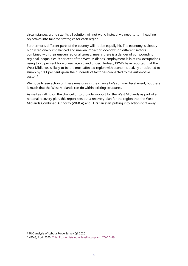circumstances, a one size fits all solution will not work. Instead, we need to turn headline objectives into tailored strategies for each region.

Furthermore, different parts of the country will not be equally hit. The economy is already highly regionally imbalanced and uneven impact of lockdown on different sectors, combined with their uneven regional spread, means there is a danger of compounding regional inequalities. 9 per cent of the West Midlands' employment is in at risk occupations, rising to 25 per cent for workers age 25 and under.<sup>[1](#page-2-0)</sup> Indeed, KPMG have reported that the West Midlands is likely to be the most affected region with economic activity anticipated to slump by 10.1 per cent given the hundreds of factories connected to the automotive sector.<sup>[2](#page-2-1)</sup>

We hope to see action on these measures in the chancellor's summer fiscal event, but there is much that the West Midlands can do within existing structures.

As well as calling on the chancellor to provide support for the West Midlands as part of a national recovery plan, this report sets out a recovery plan for the region that the West Midlands Combined Authority (WMCA) and LEPs can start putting into action right away.

<span id="page-2-0"></span><sup>1</sup> TUC analysis of Labour Force Survey Q1 2020

<span id="page-2-1"></span><sup>2</sup> KPMG, April 2020[. Chief Economists note: levelling up and COVID-19.](https://home.kpmg/uk/en/home/insights/2020/04/chief-economist-s-note-levelling-up-and-covid-19.html)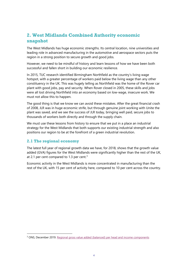## **2. West Midlands Combined Authority economic snapshot**

The West Midlands has huge economic strengths. Its central location, nine universities and leading role in advanced manufacturing in the automotive and aerospace sectors puts the region in a strong position to secure growth and good jobs.

However, we need to be mindful of history and learn lessons of how we have been both successful and fallen short in building our economic resilience.

In 2015, TUC research identified Birmingham Northfield as the country's living wage hotspot, with a greater percentage of workers paid below the living wage than any other constituency in the UK. This was hugely telling as Northfield was the home of the Rover car plant with good jobs, pay and security. When Rover closed in 2005, these skills and jobs were all lost driving Northfield into an economy based on low-wage, insecure work. We must not allow this to happen.

The good thing is that we know we can avoid these mistakes. After the great financial crash of 2008, JLR was in huge economic strife, but through genuine joint working with Unite the plant was saved, and we see the success of JLR today, bringing well paid, secure jobs to thousands of workers both directly and through the supply chain.

We must use these lessons from history to ensure that we put in a place an industrial strategy for the West Midlands that both supports our existing industrial strength and also positions our region to be at the forefront of a green industrial revolution.

#### **2.1 The regional economy**

The latest full year of regional growth data we have, for 2018, shows that the growth value added (GVA) figures for the West Midlands were significantly higher than the rest of the UK, at 2.1 per cent compared to 1.[3](#page-3-0) per cent.<sup>3</sup>

Economic activity in the West Midlands is more concentrated in manufacturing than the rest of the UK, with 15 per cent of activity here, compared to 10 per cent across the country.

<span id="page-3-0"></span><sup>&</sup>lt;sup>3</sup> ONS, December 2019. [Regional gross value added \(balanced\) per head and income components](https://www.ons.gov.uk/economy/grossvalueaddedgva/datasets/nominalregionalgrossvalueaddedbalancedperheadandincomecomponents)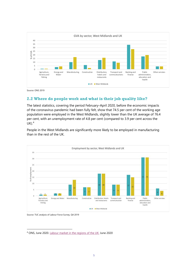

Source: ONS 2019

### **2.2 Where do people work and what is their job quality like?**

The latest statistics, covering the period February–April 2020, before the economic impacts of the coronavirus pandemic had been fully felt, show that 74.5 per cent of the working age population were employed in the West Midlands, slightly lower than the UK average of 76.4 per cent, with an unemployment rate of 4.8 per cent (compared to 3.9 per cent across the  $UK).<sup>4</sup>$  $UK).<sup>4</sup>$  $UK).<sup>4</sup>$ 

People in the West Midlands are significantly more likely to be employed in manufacturing than in the rest of the UK.



Source: TUC analysis of Labour Force Survey, Q4 2019

<span id="page-4-0"></span><sup>4</sup> ONS, June 2020. [Labour market in the regions of the UK:](https://www.ons.gov.uk/employmentandlabourmarket/peopleinwork/employmentandemployeetypes/bulletins/regionallabourmarket/june2020) June 2020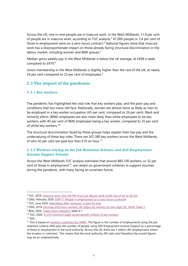Across the UK, one in nine people are in insecure work. In the West Midlands, 11.9 per cent of people are in insecure work, according to TUC analysis.<sup>[5](#page-5-0)</sup> 67,000 people or 2.4 per cent of those in employment were on a zero-hours contract.<sup>[6](#page-5-1)</sup> National figures show that insecure work has a disproportionate impact on those already facing structural discrimination in the labour market, including women and BME groups.<sup>[7](#page-5-2)</sup>

Median gross weekly pay in the West Midlands is below the UK average, at £458 a week compared to £479.[8](#page-5-3)

Union membership in the West Midlands is slightly higher than the rest of the UK, at nearly 24 per cent compared to 23 per cent of employees. $9$ 

#### **2.3 The impact of the pandemic**

#### *2.3.1 Key workers*

The pandemic has highlighted the vital role that key workers play, and the poor pay and conditions that too many still face. Nationally, women are almost twice as likely as men to be employed in a key worker occupation (45 per cent, compared to 26 per cent). Black and minority ethnic (BME) employees are also more likely than white employees to be key workers, with 40 per cent of BME employees being a key worker, compared to 35 per cent of white key workers.<sup>[10](#page-5-5)</sup>

The structural discrimination faced by these groups helps explain their low pay and the undervaluing of these key roles. There are 507,380 key workers across the West Midlands, of who 42 per cent are paid less than  $£10$  an hour.<sup>[11](#page-5-6)</sup>

#### *2.3.2 Workers relying on the Job Retention Scheme and Self-Employment Income Support Scheme*

Across the West Midlands TUC analysis estimates that around 882,100 workers, or 32 per cent of those in employment<sup>[12](#page-5-7)</sup>, are reliant on government schemes to support incomes during the pandemic, with many facing an uncertain future.

<span id="page-5-0"></span><sup>5</sup> TUC, 2019. [Insecure work: why the PM must put decent work at the top of his to-do list.](https://www.tuc.org.uk/research-analysis/reports/insecure-work)

<span id="page-5-1"></span><sup>6</sup> ONS, February 2020. [EMP17: People in employment on a zero hours contracts](https://www.ons.gov.uk/employmentandlabourmarket/peopleinwork/employmentandemployeetypes/datasets/emp17peopleinemploymentonzerohourscontracts)

<span id="page-5-2"></span><sup>7</sup> TUC, June 2020. [Rebuilding after recession: a plan for jobs](https://www.tuc.org.uk/research-analysis/reports/rebuilding-after-recession-plan-jobs)

<span id="page-5-3"></span><sup>&</sup>lt;sup>8</sup> ONS, 2019. [Earnings and hours worked, UK region by industry by two-digit SIC: ASHE Table 5](https://www.ons.gov.uk/employmentandlabourmarket/peopleinwork/earningsandworkinghours/datasets/regionbyindustry2digitsicashetable5)

<span id="page-5-4"></span><sup>&</sup>lt;sup>9</sup> BEIS, 2020. [Trade Union Statistics,](https://www.gov.uk/government/statistics/trade-union-statistics-2019) table 4.1

<span id="page-5-5"></span><sup>&</sup>lt;sup>10</sup> TUC, 2020[. A £10 minimum wage would benefit millions of key workers](https://www.tuc.org.uk/research-analysis/reports/ps10-minimum-wage-would-benefit-millions-key-workers)

<span id="page-5-6"></span> $11$  Ibid.

<span id="page-5-7"></span> $12$  This is based o[n statistics published by HMRC.](https://www.gov.uk/government/collections/hmrc-coronavirus-covid-19-statistics) The figure is the number of employments using the job retention scheme (JRS) plus the number of people using Self-Employment Income Support as a percentage of those in employment in the local authority. Across the UK, there are 1 million JRS employments where the location is 'unknown'. This means that the local authority JRS stats (and therefore the overall figure) may be an underestimate.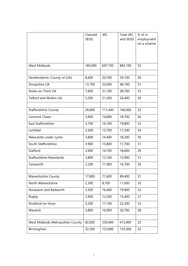|                                   | Claimed<br><b>SEISS</b> | <b>JRS</b> | <b>Total JRS</b><br>and SEISS | % of in<br>employment |
|-----------------------------------|-------------------------|------------|-------------------------------|-----------------------|
|                                   |                         |            |                               | on a scheme           |
|                                   |                         |            |                               |                       |
|                                   |                         |            |                               |                       |
| <b>West Midlands</b>              | 185,000                 | 697,100    | 882,100                       | 32                    |
| Herefordshire, County of (UA)     | 8,400                   | 20,700     | 29,100                        | 30                    |
| Shropshire UA                     | 13,100                  | 35,000     | 48,100                        | 31                    |
| Stoke-on-Trent UA                 | 7,600                   | 31,100     | 38,700                        | 33                    |
| Telford and Wrekin UA             | 5,200                   | 21,200     | 26,400                        | 30                    |
|                                   |                         |            |                               |                       |
| <b>Staffordshire County</b>       | 28,600                  | 111,400    | 140,000                       | 32                    |
| Cannock Chase                     | 3,900                   | 14,800     | 18,700                        | 36                    |
| East Staffordshire                | 3,700                   | 16,100     | 19,800                        | 33                    |
| Lichfield                         | 3,500                   | 13,700     | 17,200                        | 34                    |
| Newcastle-under-Lyme              | 3,800                   | 14,400     | 18,200                        | 30                    |
| South Staffordshire               | 3,900                   | 13,800     | 17,700                        | 31                    |
| Stafford                          | 3,900                   | 14,700     | 18,600                        | 29                    |
| <b>Staffordshire Moorlands</b>    | 3,800                   | 12,100     | 15,900                        | 31                    |
| Tamworth                          | 2,200                   | 11,900     | 14,100                        | 36                    |
|                                   |                         |            |                               |                       |
| <b>Warwickshire County</b>        | 17,800                  | 71,600     | 89,400                        | 31                    |
| North Warwickshire                | 2,300                   | 8,700      | 11,000                        | 35                    |
| Nuneaton and Bedworth             | 3,500                   | 16,400     | 19,900                        | 32                    |
| Rugby                             | 2,900                   | 12,500     | 15,400                        | 27                    |
| Stratford-on-Avon                 | 5,200                   | 17,100     | 22,300                        | 33                    |
| Warwick                           | 3,800                   | 16,900     | 20,700                        | 28                    |
|                                   |                         |            |                               |                       |
| West Midlands Metropolitan County | 82,600                  | 330,400    | 413,000                       | 32                    |
| Birmingham                        | 32,500                  | 122,800    | 155,300                       | 32                    |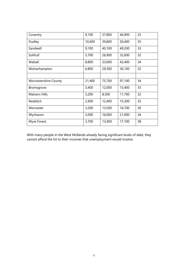| Coventry                     | 9,100  | 37,800 | 46,900 | 25 |
|------------------------------|--------|--------|--------|----|
| Dudley                       | 10,600 | 39,800 | 50,400 | 35 |
| Sandwell                     | 9,100  | 40,100 | 49,200 | 33 |
| Solihull                     | 5,700  | 26,900 | 32,600 | 32 |
| Walsall                      | 8,800  | 33,600 | 42,400 | 34 |
| Wolverhampton                | 6,800  | 29,300 | 36,100 | 32 |
|                              |        |        |        |    |
| <b>Worcestershire County</b> | 21,400 | 75,700 | 97,100 | 34 |
| <b>Bromsgrove</b>            | 3,400  | 12,000 | 15,400 | 33 |
| Malvern Hills                | 3,200  | 8,500  | 11,700 | 32 |
| Redditch                     | 2,900  | 12,400 | 15,300 | 35 |
| Worcester                    | 3,200  | 13,500 | 16,700 | 30 |
| Wychavon                     | 5,000  | 16,000 | 21,000 | 34 |
| <b>Wyre Forest</b>           | 3,700  | 13,400 | 17,100 | 38 |

With many people in the West Midlands already facing significant levels of debt, they cannot afford the hit to their incomes that unemployment would involve.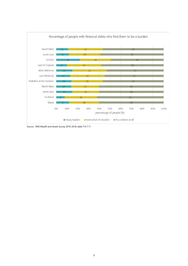

Source: ONS Wealth and Assets Survey 2016-2018, table 7.9-7.11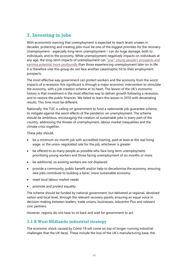## **3. Investing in jobs**

With economists warning that unemployment is expected to reach levels unseen in decades, protecting and creating jobs must be one of the biggest priorities for the recovery. Unemployment - especially long-term unemployment – can do huge damage, both to individuals, and to the economy. While unemployment negatively impacts on individuals at any age, the long-term impacts of unemployment can "scar" young people's prospects and [earning potential more profoundly](https://www.bristol.ac.uk/media-library/sites/cmpo/migrated/documents/wp97.pdf) than those experiencing unemployment later on in life. It is therefore vital this group do not face another catastrophic hit to their employment prospects.

The most effective way government can protect workers and the economy from the worst impacts of a recession this significant is through a major economic intervention to stimulate the economy, with a job creation scheme at its heart. The lesson of the UK's economic history is that investment is the most effective way to deliver growth following a recession, and to restore the public finances. We failed to learn this lesson in 2010 with devastating results. This time must be different.

Nationally, the TUC is calling on government to fund a nationwide job guarantee scheme, to mitigate against the worst effects of the pandemic on unemployment. The scheme should be ambitious, encouraging the creation of sustainable jobs in every part of the country, addressing the threats of unemployment, labour market inequalities and the climate crisis together.

These jobs should:

- be a minimum six-month job with accredited training, paid at least at the real living wage, or the union negotiated rate for the job, whichever is greater
- be offered to as many people as possible who face long term unemployment, prioritising young workers and those facing unemployment of six months or more
- be additional, so existing workers are not displaced
- provide a community, public benefit and/or help to decarbonise the economy, ensuring new jobs contribute to building a fairer, more sustainable economy
- meet local labour market needs
- promote and protect equality.

The scheme should be funded by national government, but delivered at regional, devolved nation and local level, through the relevant recovery panels, ensuring an equal voice in decision-making between leaders, trade unions, businesses, Jobcentre Plus and relevant civic partners.

However, regions do not have to sit back and wait for government to act.

#### **3.1 A West Midlands industrial strategy**

The economic shock caused by Covid-19 will come on top of longer-running industrial challenges that the UK faces. These include the loss of the UK's manufacturing base, the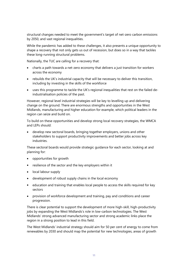structural changes needed to meet the government's target of net-zero carbon emissions by 2050, and vast regional inequalities.

While the pandemic has added to these challenges, it also presents a unique opportunity to shape a recovery that not only gets us out of recession, but does so in a way that tackles these long-running structural problems.

Nationally, the TUC are calling for a recovery that:

- charts a path towards a net-zero economy that delivers a just transition for workers across the economy
- rebuilds the UK's industrial capacity that will be necessary to deliver this transition, including by investing in the skills of the workforce
- uses this programme to tackle the UK's regional inequalities that rest on the failed deindustrialisation policies of the past.

However, regional level industrial strategies will be key to levelling up and delivering change on the ground. There are enormous strengths and opportunities in the West Midlands, manufacturing and higher education for example, which political leaders in the region can seize and build on.

To build on these opportunities and develop strong local recovery strategies, the WMCA and LEPs should:

• develop new sectoral boards, bringing together employers, unions and other stakeholders to support productivity improvements and better jobs across key industries.

These sectoral boards would provide strategic guidance for each sector, looking at and planning for:

- opportunities for growth
- resilience of the sector and the key employers within it
- local labour supply
- development of robust supply chains in the local economy
- education and training that enables local people to access the skills required for key sectors
- provision of workforce development and training, pay and conditions and career progression.

There is clear potential to support the development of more high-skill, high-productivity jobs by expanding the West Midlands's role in low-carbon technologies. The West Midlands' strong advanced manufacturing sector and strong academic links place the region in a strong position to lead in this field.

The West Midlands' industrial strategy should aim for 50 per cent of energy to come from renewables by 2030 and should map the potential for new technologies, areas of growth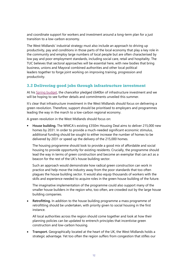and coordinate support for workers and investment around a long-term plan for a just transition to a low-carbon economy.

The West Midlands' industrial strategy must also include an approach to driving up productivity, pay and conditions in those parts of the local economy that play a key role in the community and employ large numbers of local people but are often characterised by low pay and poor employment standards, including social care, retail and hospitality. The TUC believes that sectoral approaches will be essential here, with new bodies that bring business, unions and Mayoral combined authorities and other local political leaders together to forge joint working on improving training, progression and productivity.

#### **3.2 Delivering good jobs through infrastructure investment**

At his [Spring budget,](https://www.gov.uk/government/news/budget-2020-what-you-need-to-know) the chancellor pledged £640bn of infrastructure investment and we will be hoping to see further details and commitments unveiled this summer.

It's clear that infrastructure investment in the West Midlands should focus on delivering a green revolution. Therefore, support should be prioritised to employers and programmes leading the way in the march to a low-carbon regional economy.

A green revolution in the West Midlands should focus on:

• **House building.** The WMCA's existing £350m Housing Deal aims to deliver 215,000 new homes by 2031. In order to provide a much-needed significant economic stimulus, additional funding should be sought to either increase the number of homes to be delivered by 2031 or speed up the delivery of the 215,000 homes.

The housing programme should look to provide a good mix of affordable and social housing to provide opportunity for existing residents. Crucially, the programme should lead the way in terms of green construction and become an exemplar that can act as a beacon for the rest of the UK's house building sector.

Such an approach would demonstrate how radical green construction can work in practice and help move the industry away from the poor standards that too often plagues the house building sector. It would also equip thousands of workers with the skills and experience needed to acquire roles in the green house building of the future.

The imaginative implementation of the programme could also support many of the smaller house builders in the region who, too often, are crowded out by the large house building companies.

• **Retrofitting.** In addition to the house building programme a mass programme of retrofitting should be undertaken, with priority given to social housing in the first instance.

All local authorities across the region should come together and look at how their planning policies can be updated to entrench principles that incentivise green construction and low-carbon housing.

• **Transport.** Geographically located at the heart of the UK, the West Midlands holds a strategic advantage. Yet too often the region suffers from congestion that stifles our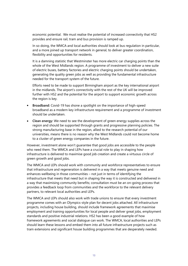economic potential. We must realise the potential of increased connectivity that HS2 provides and ensure rail, tram and bus provision is ramped up.

In so doing, the WMCA and local authorities should look at bus regulation in particular, and a more joined up transport network in general, to deliver greater coordination, flexibility and opportunities for residents.

It is a damning statistic that Westminster has more electric car charging points than the whole of the West Midlands region. A programme of investment to deliver a new suite of electric buses, battery factories and electric charging points should be undertaken, generating the quality green jobs as well as providing the fundamental infrastructure needed for the transport system of the future.

Efforts need to be made to support Birmingham airport as the key international airport in the midlands. The airport's connectivity with the rest of the UK will be improved further with HS2 and the potential for the airport to support economic growth across the region is key.

- **Broadband:** Covid-19 has shone a spotlight on the importance of high-speed broadband as a modern key infrastructure requirement and a programme of investment should be undertaken.
- **Clean energy:** We need to see the development of green energy supplies across the region and should be supported through grants and progressive planning policies. The strong manufacturing base in the region, allied to the research potential of our universities, means there is no reason why the West Midlands could not become home to a cluster of green energy companies in the future.

However, investment alone won't guarantee that good jobs are accessible to the people who need them. The WMCA and LEPs have a crucial role to play in shaping how infrastructure is delivered to maximise good job creation and create a virtuous circle of green growth and good jobs.

The WMCA and LEPs should work with community and workforce representatives to ensure that infrastructure and regeneration is delivered in a way that meets genuine need and enhances wellbeing in those communities – not just in terms of identifying the infrastructure that meets that need but in shaping the way it is constructed and delivered in a way that maximising community benefits; consultation must be an on-going process that provides a feedback loop from communities and the workforce to the relevant delivery partners, to relevant local authorities and LEPs.

The WMCA and LEPs should also work with trade unions to ensure that every investment programme comes with an Olympics-style plan for decent jobs attached. All infrastructure projects, including house building, should include framework agreements that maximise employment and training opportunities for local people and deliver great jobs, employment standards and positive industrial relations. HS2 has been a good example of how framework agreements and social dialogue can work. The WMCA, local authorities and LEPs should learn these lessons and embed them into all future infrastructure projects such as tram extensions and significant house building programmes that are desperately needed.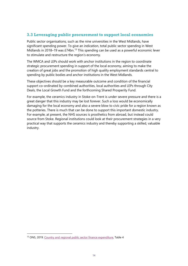#### **3.3 Leveraging public procurement to support local economies**

Public sector organisations, such as the nine universities in the West Midlands, have significant spending power. To give an indication, total public sector spending in West Midlands in 2018–19 was £74bn.<sup>[13](#page-13-0)</sup> This spending can be used as a powerful economic lever to stimulate and restructure the region's economy.

The WMCA and LEPs should work with anchor institutions in the region to coordinate strategic procurement spending in support of the local economy, aiming to make the creation of great jobs and the promotion of high quality employment standards central to spending by public bodies and anchor institutions in the West Midlands.

These objectives should be a key measurable outcome and condition of the financial support co-ordinated by combined authorities, local authorities and LEPs through City Deals, the Local Growth Fund and the forthcoming Shared Prosperity Fund.

For example, the ceramics industry in Stoke-on-Trent is under severe pressure and there is a great danger that this industry may be lost forever. Such a loss would be economically damaging for the local economy and also a severe blow to civic pride for a region known as the potteries. There is much that can be done to support this important domestic industry. For example, at present, the NHS sources is prosthetics from abroad, but instead could source from Stoke. Regional institutions could look at their procurement strategies in a very practical way that supports the ceramics industry and thereby supporting a skilled, valuable industry.

<span id="page-13-0"></span><sup>&</sup>lt;sup>13</sup> ONS, 2019[. Country and regional public sector finance expenditure,](https://www.ons.gov.uk/economy/governmentpublicsectorandtaxes/publicsectorfinance/datasets/countryandregionalpublicsectorfinancesexpendituretables) Table 4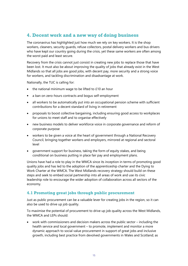## **4. Decent work and a new way of doing business**

The coronavirus has highlighted just how much we rely on key workers. It is the shop workers, cleaners, security guards, refuse collectors, postal delivery workers and bus drivers who have kept our country going during the crisis, yet these same workers are often among the worst paid and least secure.

Recovery from the crisis cannot just consist in creating new jobs to replace those that have been lost. It must also be about improving the quality of jobs that already exist in the West Midlands so that all jobs are good jobs, with decent pay, more security and a strong voice for workers, and tackling discrimination and disadvantage at work.

Nationally, the TUC is calling for:

- the national minimum wage to be lifted to £10 an hour
- a ban on zero-hours contracts and bogus self-employment
- all workers to be automatically put into an occupational pension scheme with sufficient contributions for a decent standard of living in retirement
- proposals to boost collective bargaining, including ensuring good access to workplaces for unions to meet staff and to organise effectively
- new business models to deliver workforce voice in corporate governance and reform of corporate purpose
- workers to be given a voice at the heart of government through a National Recovery Council, bringing together workers and employers, mirrored at regional and sectoral level
- government support for business, taking the form of equity stakes, and being conditional on business putting in place fair pay and employment plans.

Unions have had a role to play in the WMCA since its inception in terms of promoting good quality jobs and has led to the adoption of the apprenticeship charter and the Dying to Work Charter at the WMCA. The West Midlands recovery strategy should build on these steps and seek to embed social partnership into all areas of work and use its civic leadership role to encourage the wider adoption of collaboration across all sectors of the economy.

#### **4.1 Promoting great jobs through public procurement**

Just as public procurement can be a valuable lever for creating jobs in the region, so it can also be used to drive up job quality.

To maximise the potential of procurement to drive up job quality across the West Midlands, the WMCA and LEPs should:

• work with commissioners and decision makers across the public sector – including the health service and local government – to promote, implement and monitor a more dynamic approach to social value procurement in support of great jobs and inclusive growth, including best practice from devolved governments in Wales and Scotland; as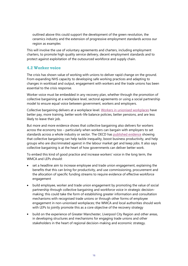outlined above this could support the development of the green revolution, the ceramics industry and the extension of progressive employment standards across our region as examples

This will involve the use of voluntary agreements and charters, including employment charters, to promote high quality service delivery, decent employment standards and to protect against exploitation of the outsourced workforce and supply chain.

#### **4.2 Worker voice**

The crisis has shown value of working with unions to deliver rapid change on the ground. From expanding NHS capacity to developing safe working practices and adapting to changes in workload and output, engagement with workers and the trade unions has been essential to the crisis response.

Worker voice must be embedded in any recovery plan, whether through the promotion of collective bargaining at a workplace level, sectoral agreements or using a social partnership model to ensure equal voice between government, workers and employers.

Collective bargaining delivers at a workplace level. [Workers in unionised workplaces](https://www.tuc.org.uk/sites/default/files/The%20added%20value%20of%20trade%20unions%20RS.pdf) have better pay, more training, better work-life balance policies, better pensions, and are less likely to leave their job.

But more and more evidence shows that collective bargaining also delivers for workers across the economy too – particularly when workers can bargain with employers to set standards across a whole industry or sector. The OECD has [published](https://www.tuc.org.uk/blogs/oecd-says-collective-bargaining-best-way-deliver-better-work) evidence showing that collective bargaining can help tackle inequality, boost business productivity, and help groups who are discriminated against in the labour market get and keep jobs. It also says collective bargaining is at the heart of how governments can deliver better work.

To embed this kind of good practice and increase workers' voice in the long term, the WMCA and LEPs should:

- set a headline aim to increase employee and trade union engagement, explaining the benefits that this can bring for productivity, and use commissioning, procurement and the allocation of specific funding streams to require evidence of effective workforce engagement
- build employee, worker and trade union engagement by promoting the value of social partnership through collective bargaining and workforce voice in strategic decisionmaking; this could take the form of establishing greater information and consultation mechanisms with recognised trade unions or through other forms of employee engagement in non-unionised workplaces; the WMCA and local authorities should work with LEPs to jointly promote this as a core objective of the recovery strategy
- build on the experience of Greater Manchester, Liverpool City Region and other areas, in developing structures and mechanisms for engaging trade unions and other stakeholders in the heart of regional decision-making and economic strategy.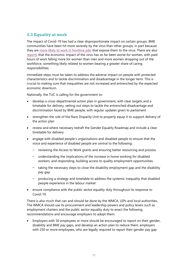## **4.3 Equality at work**

The impact of Covid-19 has had a clear disproportionate impact on certain groups. BME communities have been hit more severely by the virus than other groups, in part because they are [more likely to work in frontline jobs](https://www.tuc.org.uk/blogs/coronavirus-why-structural-racism-putting-bme-lives-risk) that expose them to the virus. There are also [reports](https://www.theguardian.com/world/2020/may/24/pink-collar-recession-how-the-covid-19-crisis-is-eroding-womens-economic-power) that the economic impact of the virus has so far been worse for women, with paid hours of work falling more for women than men and more women dropping out of the workforce, something likely related to women bearing a greater share of caring responsibilities.

Immediate steps must be taken to address the adverse impact on people with protected characteristics and to tackle discrimination and disadvantage in the longer term. This is crucial to making sure that inequalities are not increased and entrenched by the expected economic downturn.

Nationally, the TUC is calling for the government to:

- develop a cross-departmental action plan in government, with clear targets and a timetable for delivery, setting out steps to tackle the entrenched disadvantage and discrimination faced by BME people, with regular updates given to parliament
- strengthen the role of the Race Disparity Unit to properly equip it to support delivery of the action plan
- review and where necessary redraft the Gender Equality Roadmap and include a clear timetable for delivery
- engage with disabled people's organisations and disabled people to ensure that the voice and experience of disabled people are central to the following:
	- reviewing the Access to Work grants and ensuring better resourcing and process
	- understanding the implications of the increase in home working for disabled workers, and responding, building access to quality employment opportunities
	- taking the necessary steps to close the disability employment gap and the disability pay gap
	- producing a strategy and timetable to address the systemic inequality that disabled people experience in the labour market
- ensure compliance with the public sector equality duty throughout its response to Covid-19.

There is also much that can and should be done by the WMCA, LEPs and local authorities**.**  The WMCA should use its procurement and leadership powers and policy levers such as employment charters and the public sector equality duty to enact the following recommendations and encourage employers to adopt them:

• Employers with 50 employees or more should be encouraged to report on their gender, disability and BME pay gaps, and develop an action plan to reduce them; employers with 250 or more employees, who are legally required to report their gender pay gap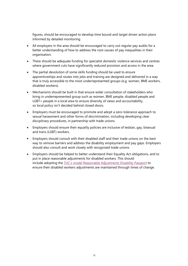figures, should be encouraged to develop time bound and target driven action plans informed by detailed monitoring.

- All employers in the area should be encouraged to carry out regular pay audits for a better understanding of how to address the root causes of pay inequalities in their organisation.
- There should be adequate funding for specialist domestic violence services and centres where government cuts have significantly reduced provision and access in the area.
- The partial devolution of some skills funding should be used to ensure apprenticeships and routes into jobs and training are designed and delivered in a way that is truly accessible to the most underrepresented groups (e.g. women, BME workers, disabled workers).
- Mechanisms should be built in that ensure wider consultation of stakeholders who bring in underrepresented group such as women, BME people, disabled people and LGBT+ people in a local area to ensure diversity of views and accountability, so local policy isn't decided behind closed doors.
- Employers must be encouraged to promote and adopt a zero-tolerance approach to sexual harassment and other forms of discrimination, including developing clear disciplinary procedures, in partnership with trade unions.
- Employers should ensure their equality policies are inclusive of lesbian, gay, bisexual and trans (LGBT) workers.
- Employers should consult with their disabled staff and their trade unions on the best way to remove barriers and address the disability employment and pay gaps. Employers should also consult and work closely with recognised trade unions.
- Employers should be helped to better understand their Equality Act obligations, and to put in place reasonable adjustments for disabled workers. This should include adopting the [TUC's model Reasonable Adjustments Disability Passport](https://www.tuc.org.uk/sites/default/files/Reasonable_Adjustments_Disability_Passports_2019_WIP5_Model_Passport%20secure.pdf) to ensure their disabled workers adjustments are maintained through times of change.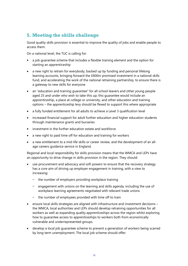# **5. Meeting the skills challenge**

Good quality skills provision is essential to improve the quality of jobs and enable people to access them.

On a national level, the TUC is calling for:

- a job guarantee scheme that includes a flexible training element and the option for starting an apprenticeship
- a new right to retrain for everybody, backed up by funding and personal lifelong learning accounts, bringing forward the £600m promised investment in a national skills fund, and accelerating the work of the national retraining partnership, to ensure there is a gateway to new skills for everyone
- an "education and training quarantee" for all school leavers and other young people aged 25 and under who wish to take this up; this guarantee would include an apprenticeship, a place at college or university, and other education and training options – the apprenticeship levy should be flexed to support this where appropriate
- a fully funded entitlement for all adults to achieve a Level 3 qualification level
- increased financial support for adult further education and higher education students through maintenance grants and bursaries
- investment in the further education estate and workforce
- a new right to paid time off for education and training for workers
- a new entitlement to a mid-life skills or career review, and the development of an allage careers guidance service in England.

Regional and local responsibility for skills provision means that the WMCA and LEPs have an opportunity to drive change in skills provision in the region. They should:

- use procurement and advocacy and soft powers to ensure that the recovery strategy has a core aim of driving up employer engagement in training, with a view to increasing:
	- the number of employers providing workplace training
	- engagement with unions on the learning and skills agenda, including the use of workplace learning agreements negotiated with relevant trade unions
	- the number of employees provided with time off to train
- ensure local skills strategies are aligned with infrastructure and investment decisions the WMCA, local authorities and LEPs should develop retraining opportunities for all workers as well as expanding quality apprenticeships across the region whilst exploring how to guarantee access to apprenticeships to workers both from economically vulnerable and underrepresented groups.
- develop a local job guarantee scheme to prevent a generation of workers being scarred by long term unemployment. The local job scheme should offer: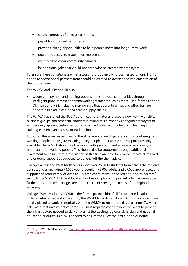- secure contracts of at least six months
- pay at least the real living wage
- provide training opportunities to help people move into longer-term work
- guarantee access to trade union representation
- contribute to wider community benefits
- be additional jobs that would not otherwise be created by employers.

To ensure these conditions are met a working group involving businesses, unions, HE, FE and third sector social partners from should be created to oversee the implementation of the programme.

The WMCA and LEPs should also:

secure employment and training opportunities for local communities through intelligent procurement and framework agreements such as those used for the London Olympics and HS2, including making sure that apprenticeships and other training opportunities are established across supply chains.

The WMCA has signed the TUC Apprenticeship Charter and should now work with LEPs, business groups and other stakeholders in taking this further by engaging employers to ensure every apprenticeship has purpose, is paid fairly, with high-quality learning and training elements and access to trade unions.

Too often the agencies involved in the skills agenda are disparate and it is confusing for working people to navigate meaning many people don't access the support presently available. The WMCA should look again at skills provision and ensure access is easy to understand for working people. This should also be supported through additional investment to ensure that professionals in this field are able to provide individual, tailored and ongoing support as opposed to generic 'off the shelf' advice.

Colleges across the West Midlands support over 250,000 students from across the region's constituencies, including 74,000 young people, 145,000 adults and 27,000 apprentices, and support the productivity of over 12,000 employers, many in the region's priority sectors.<sup>[14](#page-19-0)</sup> As such, the WMCA, LEPs and local authorities can play an important role in ensuring that further education (FE) colleges are at the centre of serving the needs of the regional economy.

Colleges West Midlands (CWM) is the formal partnership of all 21 further education colleges situated in, and adjacent to, the West Midlands Combined Authority area and are ideally placed to work strategically with the WMCA to meet the skills challenge. CWM has calculated that investment of some £636m is required over the next five years to provide the infrastructure needed to deliver against the existing regional skills plan and national education priorities. £471m is needed to ensure the FE estate is of a good or better

<span id="page-19-0"></span><sup>&</sup>lt;sup>14</sup> Colleges West Midlands, 2020. A prospectus for capital investment in further education colleges in the [West Midlands.](https://www.collegeswestmidlands.org.uk/wp-content/uploads/CWM-Prospectus-for-Capital-Investment.pdf)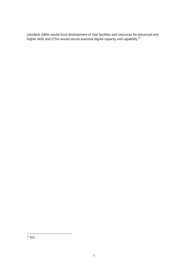standard, £89m would fund development of new facilities and resources for advanced and higher skills and £75m would secure essential digital capacity and capability.<sup>[15](#page-20-0)</sup>

<span id="page-20-0"></span> $15$  Ibid.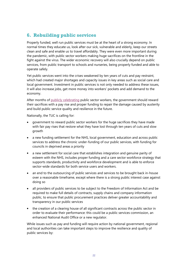## **6. Rebuilding public services**

Properly funded, well run public services must be at the heart of a strong economy. In normal times they educate us, look after our sick, vulnerable and elderly, keep our streets clean and safe and enable us to travel affordably. They were even more important during the pandemic, with public sector workers making huge sacrifices on the frontline in the fight against the virus. The wider economic recovery will also crucially depend on public services, from public transport to schools and nurseries, being properly funded and able to operate safely.

Yet public services went into the crises weakened by ten years of cuts and pay restraint, which had created major shortages and capacity issues in key areas such as social care and local government. Investment in public services is not only needed to address these issues, it will also increase jobs, get more money into workers' pockets and add demand to the economy.

After months of [publicly celebrating](https://www.tuc.org.uk/blogs/pay-freeze-no-way-reward-public-sector-workers-putting-their-lives-line) public sector workers, the government should reward their sacrifices with a pay rise and proper funding to repair the damage caused by austerity and build public service quality and resilience in the future.

Nationally, the TUC is calling for:

- government to reward public sector workers for the huge sacrifices they have made with fair pay rises that restore what they have lost through ten years of cuts and slow growth
- a new funding settlement for the NHS, local government, education and across public services to address the chronic under-funding of our public services, with funding for councils in deprived areas a priority
- a new settlement for social care that establishes integration and genuine parity of esteem with the NHS, includes proper funding and a care sector workforce strategy that supports standards, productivity and workforce development and is able to enforce sector-wide standards for both service users and workers.
- an end to the outsourcing of public services and services to be brought back in-house over a reasonable timeframe, except where there is a strong public interest case against doing so
- all providers of public services to be subject to the Freedom of Information Act and be required to make full details of contracts, supply chains and company information public, to ensure that public procurement practices deliver greater accountability and transparency in our public services
- the creation of a clearing house of all significant contracts across the public sector in order to evaluate their performance: this could be a public services commission, an enhanced National Audit Office or a new regulator.

While issues such as pay and funding will require action by national government, regional and local authorities can take important steps to improve the resilience and quality of public services by: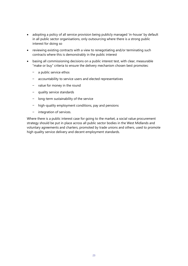- adopting a policy of all service provision being publicly managed 'in-house' by default in all public sector organisations, only outsourcing where there is a strong public interest for doing so
- reviewing existing contracts with a view to renegotiating and/or terminating such contracts where this is demonstrably in the public interest
- basing all commissioning decisions on a public interest test, with clear, measurable "make or buy" criteria to ensure the delivery mechanism chosen best promotes:
	- a public service ethos
	- accountability to service users and elected representatives
	- value for money in the round
	- quality service standards
	- long-term sustainability of the service
	- high-quality employment conditions, pay and pensions
	- integration of services.

Where there is a public interest case for going to the market, a social value procurement strategy should be put in place across all public sector bodies in the West Midlands and voluntary agreements and charters, promoted by trade unions and others, used to promote high quality service delivery and decent employment standards.